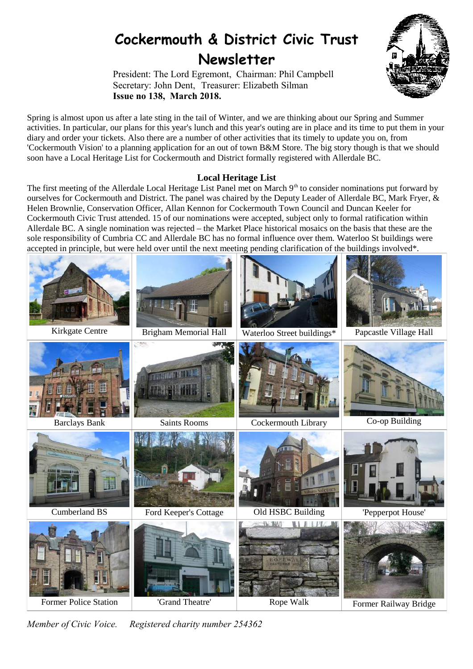# **Cockermouth & District Civic Trust Newsletter**

President: The Lord Egremont, Chairman: Phil Campbell Secretary: John Dent, Treasurer: Elizabeth Silman **Issue no 138, March 2018.**



Spring is almost upon us after a late sting in the tail of Winter, and we are thinking about our Spring and Summer activities. In particular, our plans for this year's lunch and this year's outing are in place and its time to put them in your diary and order your tickets. Also there are a number of other activities that its timely to update you on, from 'Cockermouth Vision' to a planning application for an out of town B&M Store. The big story though is that we should soon have a Local Heritage List for Cockermouth and District formally registered with Allerdale BC.

# **Local Heritage List**

The first meeting of the Allerdale Local Heritage List Panel met on March 9<sup>th</sup> to consider nominations put forward by ourselves for Cockermouth and District. The panel was chaired by the Deputy Leader of Allerdale BC, Mark Fryer, & Helen Brownlie, Conservation Officer, Allan Kennon for Cockermouth Town Council and Duncan Keeler for Cockermouth Civic Trust attended. 15 of our nominations were accepted, subject only to formal ratification within Allerdale BC. A single nomination was rejected – the Market Place historical mosaics on the basis that these are the sole responsibility of Cumbria CC and Allerdale BC has no formal influence over them. Waterloo St buildings were accepted in principle, but were held over until the next meeting pending clarification of the buildings involved\*.



*Member of Civic Voice. Registered charity number 254362*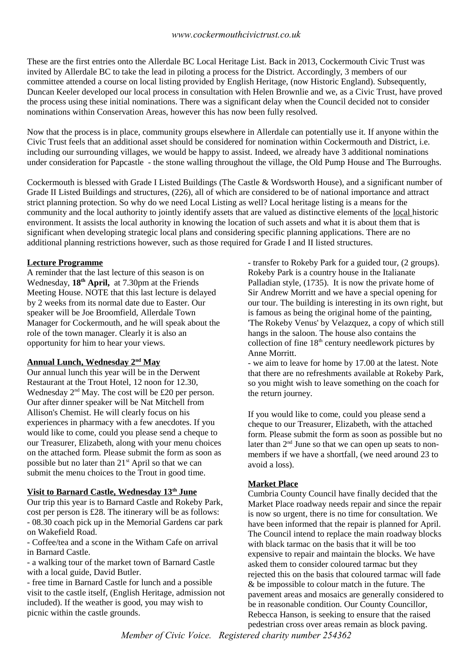These are the first entries onto the Allerdale BC Local Heritage List. Back in 2013, Cockermouth Civic Trust was invited by Allerdale BC to take the lead in piloting a process for the District. Accordingly, 3 members of our committee attended a course on local listing provided by English Heritage, (now Historic England). Subsequently, Duncan Keeler developed our local process in consultation with Helen Brownlie and we, as a Civic Trust, have proved the process using these initial nominations. There was a significant delay when the Council decided not to consider nominations within Conservation Areas, however this has now been fully resolved.

Now that the process is in place, community groups elsewhere in Allerdale can potentially use it. If anyone within the Civic Trust feels that an additional asset should be considered for nomination within Cockermouth and District, i.e. including our surrounding villages, we would be happy to assist. Indeed, we already have 3 additional nominations under consideration for Papcastle - the stone walling throughout the village, the Old Pump House and The Burroughs.

Cockermouth is blessed with Grade I Listed Buildings (The Castle & Wordsworth House), and a significant number of Grade II Listed Buildings and structures, (226), all of which are considered to be of national importance and attract strict planning protection. So why do we need Local Listing as well? Local heritage listing is a means for the community and the local authority to jointly identify assets that are valued as distinctive elements of the local historic environment. It assists the local authority in knowing the location of such assets and what it is about them that is significant when developing strategic local plans and considering specific planning applications. There are no additional planning restrictions however, such as those required for Grade I and II listed structures.

# **Lecture Programme**

A reminder that the last lecture of this season is on Wednesday, **18th April,** at 7.30pm at the Friends Meeting House. NOTE that this last lecture is delayed by 2 weeks from its normal date due to Easter. Our speaker will be Joe Broomfield, Allerdale Town Manager for Cockermouth, and he will speak about the role of the town manager. Clearly it is also an opportunity for him to hear your views.

## **Annual Lunch, Wednesday 2nd May**

Our annual lunch this year will be in the Derwent Restaurant at the Trout Hotel, 12 noon for 12.30, Wednesday 2nd May. The cost will be £20 per person. Our after dinner speaker will be Nat Mitchell from Allison's Chemist. He will clearly focus on his experiences in pharmacy with a few anecdotes. If you would like to come, could you please send a cheque to our Treasurer, Elizabeth, along with your menu choices on the attached form. Please submit the form as soon as possible but no later than 21<sup>st</sup> April so that we can submit the menu choices to the Trout in good time.

# **Visit to Barnard Castle, Wednesday 13th June**

Our trip this year is to Barnard Castle and Rokeby Park, cost per person is £28. The itinerary will be as follows: - 08.30 coach pick up in the Memorial Gardens car park on Wakefield Road.

- Coffee/tea and a scone in the Witham Cafe on arrival in Barnard Castle.

- a walking tour of the market town of Barnard Castle with a local guide, David Butler.

- free time in Barnard Castle for lunch and a possible visit to the castle itself, (English Heritage, admission not included). If the weather is good, you may wish to picnic within the castle grounds.

- transfer to Rokeby Park for a guided tour, (2 groups). Rokeby Park is a country house in the Italianate Palladian style, (1735). It is now the private home of Sir Andrew Morritt and we have a special opening for our tour. The building is interesting in its own right, but is famous as being the original home of the painting, 'The Rokeby Venus' by Velazquez, a copy of which still hangs in the saloon. The house also contains the collection of fine  $18<sup>th</sup>$  century needlework pictures by Anne Morritt.

- we aim to leave for home by 17.00 at the latest. Note that there are no refreshments available at Rokeby Park, so you might wish to leave something on the coach for the return journey.

If you would like to come, could you please send a cheque to our Treasurer, Elizabeth, with the attached form. Please submit the form as soon as possible but no later than  $2<sup>nd</sup>$  June so that we can open up seats to nonmembers if we have a shortfall, (we need around 23 to avoid a loss).

# **Market Place**

Cumbria County Council have finally decided that the Market Place roadway needs repair and since the repair is now so urgent, there is no time for consultation. We have been informed that the repair is planned for April. The Council intend to replace the main roadway blocks with black tarmac on the basis that it will be too expensive to repair and maintain the blocks. We have asked them to consider coloured tarmac but they rejected this on the basis that coloured tarmac will fade & be impossible to colour match in the future. The pavement areas and mosaics are generally considered to be in reasonable condition. Our County Councillor, Rebecca Hanson, is seeking to ensure that the raised pedestrian cross over areas remain as block paving.

*Member of Civic Voice. Registered charity number 254362*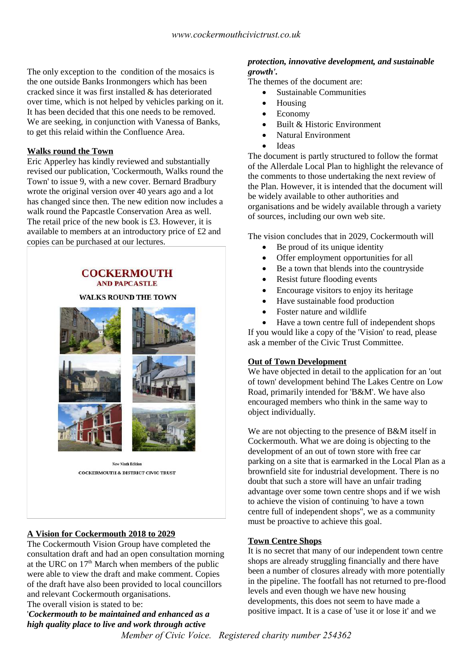The only exception to the condition of the mosaics is the one outside Banks Ironmongers which has been cracked since it was first installed & has deteriorated over time, which is not helped by vehicles parking on it. It has been decided that this one needs to be removed. We are seeking, in conjunction with Vanessa of Banks, to get this relaid within the Confluence Area.

## **Walks round the Town**

Eric Apperley has kindly reviewed and substantially revised our publication, 'Cockermouth, Walks round the Town' to issue 9, with a new cover. Bernard Bradbury wrote the original version over 40 years ago and a lot has changed since then. The new edition now includes a walk round the Papcastle Conservation Area as well. The retail price of the new book is £3. However, it is available to members at an introductory price of £2 and copies can be purchased at our lectures.

#### **COCKERMOUTH AND PAPCASTLE**

#### **WALKS ROUND THE TOWN**



#### **A Vision for Cockermouth 2018 to 2029**

The Cockermouth Vision Group have completed the consultation draft and had an open consultation morning at the URC on  $17<sup>th</sup>$  March when members of the public were able to view the draft and make comment. Copies of the draft have also been provided to local councillors and relevant Cockermouth organisations.

The overall vision is stated to be:

'*Cockermouth to be maintained and enhanced as a high quality place to live and work through active* 

#### *protection, innovative development, and sustainable growth'.*

The themes of the document are:

- Sustainable Communities
- Housing
- Economy
- Built & Historic Environment
- Natural Environment
- Ideas

The document is partly structured to follow the format of the Allerdale Local Plan to highlight the relevance of the comments to those undertaking the next review of the Plan. However, it is intended that the document will be widely available to other authorities and organisations and be widely available through a variety of sources, including our own web site.

The vision concludes that in 2029, Cockermouth will

- Be proud of its unique identity
- Offer employment opportunities for all
- Be a town that blends into the countryside
- Resist future flooding events
- Encourage visitors to enjoy its heritage
- Have sustainable food production
- Foster nature and wildlife

 Have a town centre full of independent shops If you would like a copy of the 'Vision' to read, please ask a member of the Civic Trust Committee.

## **Out of Town Development**

We have objected in detail to the application for an 'out of town' development behind The Lakes Centre on Low Road, primarily intended for 'B&M'. We have also encouraged members who think in the same way to object individually.

We are not objecting to the presence of B&M itself in Cockermouth. What we are doing is objecting to the development of an out of town store with free car parking on a site that is earmarked in the Local Plan as a brownfield site for industrial development. There is no doubt that such a store will have an unfair trading advantage over some town centre shops and if we wish to achieve the vision of continuing 'to have a town centre full of independent shops'', we as a community must be proactive to achieve this goal.

## **Town Centre Shops**

It is no secret that many of our independent town centre shops are already struggling financially and there have been a number of closures already with more potentially in the pipeline. The footfall has not returned to pre-flood levels and even though we have new housing developments, this does not seem to have made a positive impact. It is a case of 'use it or lose it' and we

*Member of Civic Voice. Registered charity number 254362*